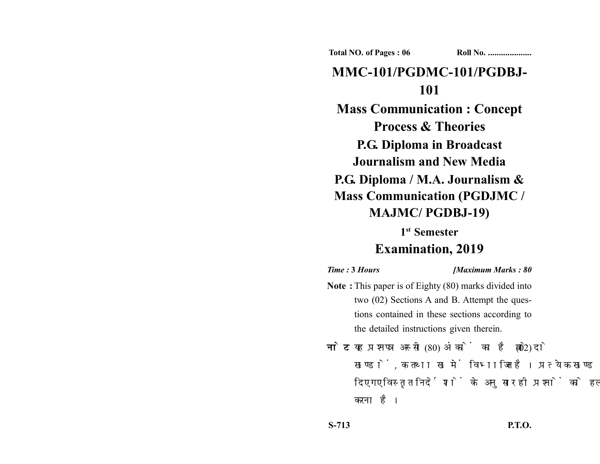**Total NO. of Pages : 06 Roll No. ...................** 

# **MMC-101/PGDMC-101/PGDBJ-101**

**Mass Communication : Concept Process & Theories P.G. Diploma in Broadcast Journalism and New Media P.G. Diploma / M.A. Journalism & Mass Communication (PGDJMC / MAJMC/ PGDBJ-19)**

## **1st Semester Examination, 2019**

## *Time :* **3** *Hours [Maximum Marks : 80* **Note :** This paper is of Eighty (80) marks divided into two (02) Sections A and B. Attempt the questions contained in these sections according to the detailed instructions given therein.

नोट: यह प्रश्नपत्र अस्सी (80) अंकों का है जो दो (02) खण्डों, क तथा ख में विभाजित है। प्रत्येक खण्ड में दिए गए विस्तृत निर्देशों के अनुसार ही प्रश्नों को हल करना है।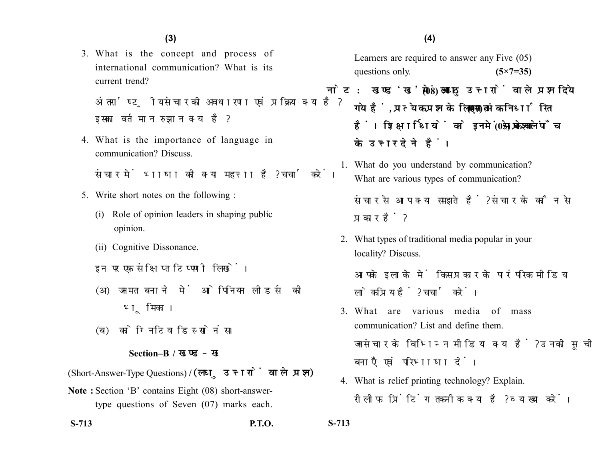3. What is the concept and process of international communication? What is its current trend?

अंतर्राष्टीय संचार की अवधारणा एवं प्रक्रिया क्या है? इसका वर्तमान रुझान क्या है?

4. What is the importance of language in communication? Discuss.

संचार में भाषा की क्या महत्ता है? चर्चा करें।

- 5. Write short notes on the following :
	- (i) Role of opinion leaders in shaping public opinion.
	- (ii) Cognitive Dissonance.
	- इन पर एक संक्षिप्त टिप्पणी लिखें।
	- (अ) जनमत बनाने में ओपिनियन लीडर्स की भूमिका।
	- (ब) कोग्निटिव डिस्सोनंस।

#### **Section–B /**

(Short-Answer-Type Questions) **/** 

**Note :** Section 'B' contains Eight (08) short-answertype questions of Seven (07) marks each.

**S-713 P.T.O. S-713**

Learners are required to answer any Five (05) questions only. **(5×7=35)** 

- नोट: खण्ड'ख' में आठ (08) लघु उत्तरों वाले प्रश्न दिये गये हैं. प्रत्येक प्रश्न के लिए सात (07) अंक निर्धारित हैं। शिक्षार्थियों को इनमें से केवल पाँच (05) प्रश्नों के उत्तर देने हैं।
	- 1. What do you understand by communication? What are various types of communication?

संचार से आप क्या समझते हैं? संचार के कौन से प्रकार हैं?

2. What types of traditional media popular in your locality? Discuss.

आपके इलाके में किस प्रकार के पारंपरिक मीडिया लोकप्रिय हैं? चर्चा करें।

- 3. What are various media of mass communication? List and define them. जनसंचार के विभिन्न मीडिया क्या हैं? उनकी सूची बनाएँ एवं परिभाषा दें।
- 4. What is relief printing technology? Explain. रीलीफ प्रिंटिंग तकनीक क्या है? व्याख्या करें।